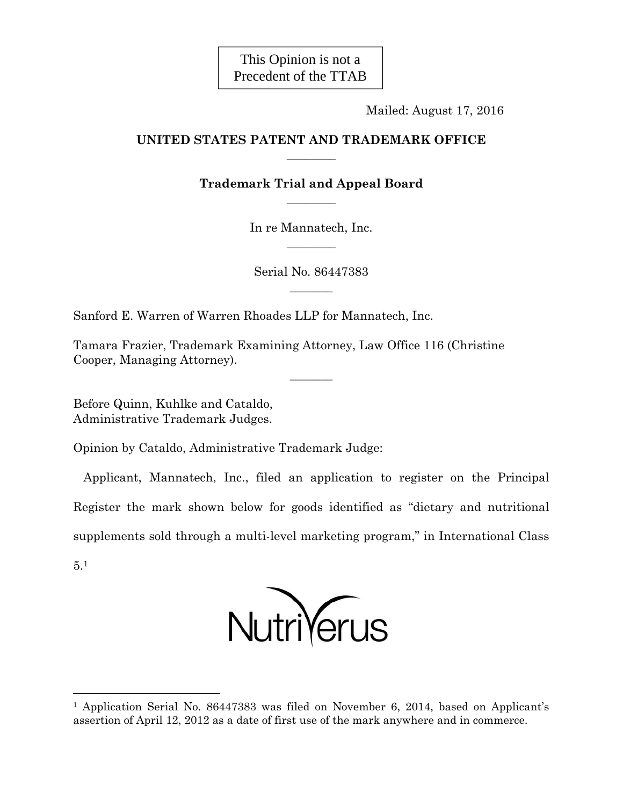This Opinion is not a Precedent of the TTAB

Mailed: August 17, 2016

# **UNITED STATES PATENT AND TRADEMARK OFFICE**   $\overline{\phantom{a}}$

# **Trademark Trial and Appeal Board**   $\overline{\phantom{a}}$

In re Mannatech, Inc.  $\overline{\phantom{a}}$ 

Serial No. 86447383  $\overline{\phantom{a}}$ 

 $\overline{\phantom{a}}$ 

Sanford E. Warren of Warren Rhoades LLP for Mannatech, Inc.

Tamara Frazier, Trademark Examining Attorney, Law Office 116 (Christine Cooper, Managing Attorney).

Before Quinn, Kuhlke and Cataldo, Administrative Trademark Judges.

Opinion by Cataldo, Administrative Trademark Judge:

 Applicant, Mannatech, Inc., filed an application to register on the Principal Register the mark shown below for goods identified as "dietary and nutritional supplements sold through a multi-level marketing program," in International Class 5.1



<sup>&</sup>lt;sup>1</sup> Application Serial No. 86447383 was filed on November 6, 2014, based on Applicant's assertion of April 12, 2012 as a date of first use of the mark anywhere and in commerce.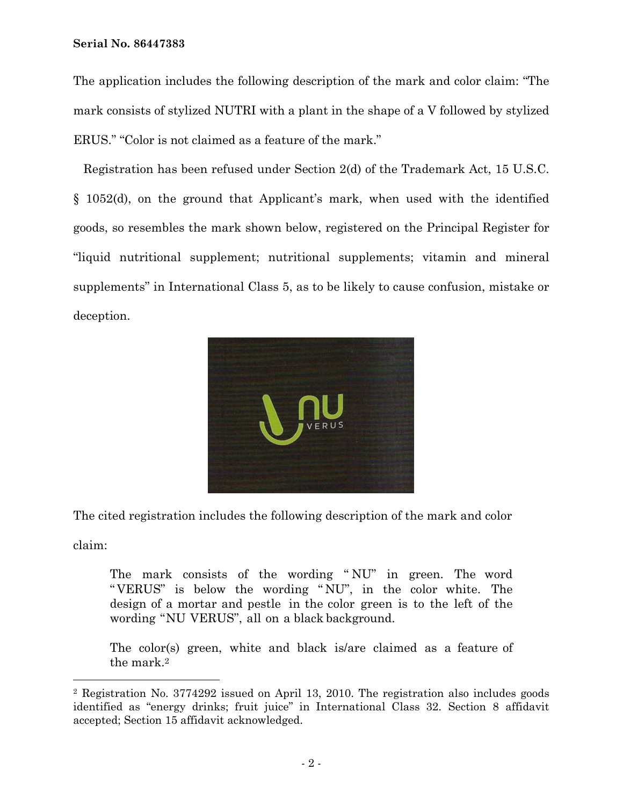The application includes the following description of the mark and color claim: "The mark consists of stylized NUTRI with a plant in the shape of a V followed by stylized ERUS." "Color is not claimed as a feature of the mark."

 Registration has been refused under Section 2(d) of the Trademark Act, 15 U.S.C. § 1052(d), on the ground that Applicant's mark, when used with the identified goods, so resembles the mark shown below, registered on the Principal Register for "liquid nutritional supplement; nutritional supplements; vitamin and mineral supplements" in International Class 5, as to be likely to cause confusion, mistake or deception.



The cited registration includes the following description of the mark and color

claim:

i<br>L

The mark consists of the wording " NU" in green. The word " VERUS" is below the wording " NU", in the color white. The design of a mortar and pestle in the color green is to the left of the wording "NU VERUS", all on a black background.

The color(s) green, white and black is/are claimed as a feature of the mark.2

<sup>2</sup> Registration No. 3774292 issued on April 13, 2010. The registration also includes goods identified as "energy drinks; fruit juice" in International Class 32. Section 8 affidavit accepted; Section 15 affidavit acknowledged.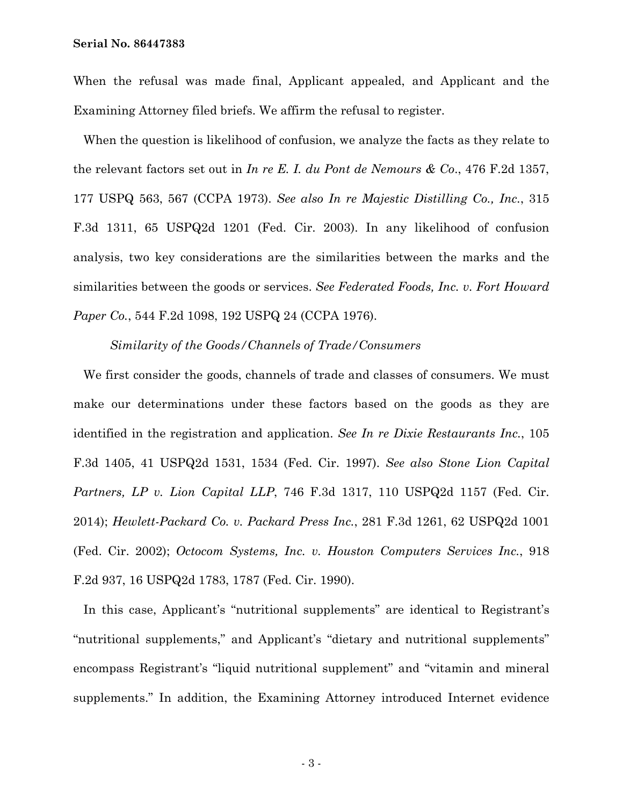When the refusal was made final, Applicant appealed, and Applicant and the Examining Attorney filed briefs. We affirm the refusal to register.

 When the question is likelihood of confusion, we analyze the facts as they relate to the relevant factors set out in *In re E. I. du Pont de Nemours & Co*., 476 F.2d 1357, 177 USPQ 563, 567 (CCPA 1973). *See also In re Majestic Distilling Co., Inc.*, 315 F.3d 1311, 65 USPQ2d 1201 (Fed. Cir. 2003). In any likelihood of confusion analysis, two key considerations are the similarities between the marks and the similarities between the goods or services. *See Federated Foods, Inc. v. Fort Howard Paper Co.*, 544 F.2d 1098, 192 USPQ 24 (CCPA 1976).

*Similarity of the Goods/Channels of Trade/Consumers* 

 We first consider the goods, channels of trade and classes of consumers. We must make our determinations under these factors based on the goods as they are identified in the registration and application. *See In re Dixie Restaurants Inc.*, 105 F.3d 1405, 41 USPQ2d 1531, 1534 (Fed. Cir. 1997). *See also Stone Lion Capital Partners, LP v. Lion Capital LLP*, 746 F.3d 1317, 110 USPQ2d 1157 (Fed. Cir. 2014); *Hewlett-Packard Co. v. Packard Press Inc.*, 281 F.3d 1261, 62 USPQ2d 1001 (Fed. Cir. 2002); *Octocom Systems, Inc. v. Houston Computers Services Inc.*, 918 F.2d 937, 16 USPQ2d 1783, 1787 (Fed. Cir. 1990).

 In this case, Applicant's "nutritional supplements" are identical to Registrant's "nutritional supplements," and Applicant's "dietary and nutritional supplements" encompass Registrant's "liquid nutritional supplement" and "vitamin and mineral supplements." In addition, the Examining Attorney introduced Internet evidence

- 3 -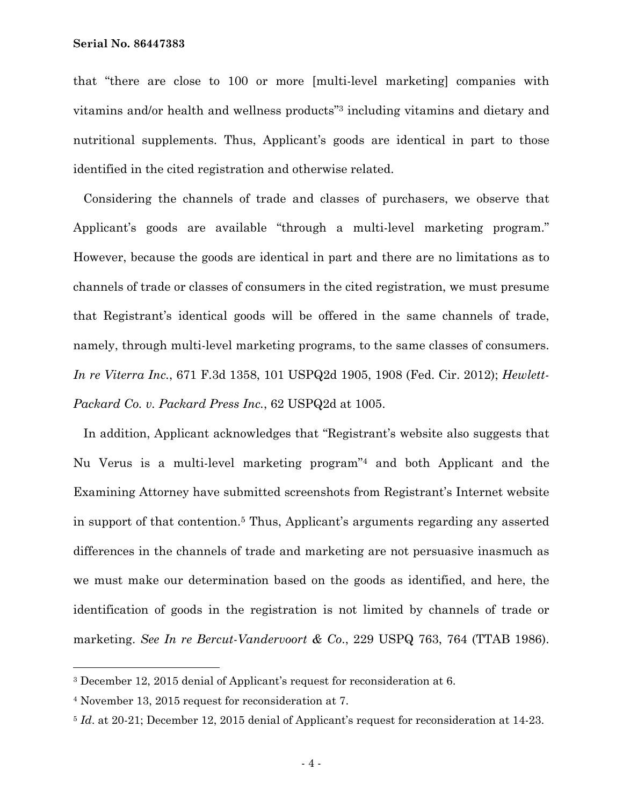that "there are close to 100 or more [multi-level marketing] companies with vitamins and/or health and wellness products"3 including vitamins and dietary and nutritional supplements. Thus, Applicant's goods are identical in part to those identified in the cited registration and otherwise related.

 Considering the channels of trade and classes of purchasers, we observe that Applicant's goods are available "through a multi-level marketing program." However, because the goods are identical in part and there are no limitations as to channels of trade or classes of consumers in the cited registration, we must presume that Registrant's identical goods will be offered in the same channels of trade, namely, through multi-level marketing programs, to the same classes of consumers. *In re Viterra Inc.*, 671 F.3d 1358, 101 USPQ2d 1905, 1908 (Fed. Cir. 2012); *Hewlett-Packard Co. v. Packard Press Inc.*, 62 USPQ2d at 1005.

 In addition, Applicant acknowledges that "Registrant's website also suggests that Nu Verus is a multi-level marketing program"4 and both Applicant and the Examining Attorney have submitted screenshots from Registrant's Internet website in support of that contention.5 Thus, Applicant's arguments regarding any asserted differences in the channels of trade and marketing are not persuasive inasmuch as we must make our determination based on the goods as identified, and here, the identification of goods in the registration is not limited by channels of trade or marketing. *See In re Bercut-Vandervoort & Co*., 229 USPQ 763, 764 (TTAB 1986).

i<br>L

<sup>3</sup> December 12, 2015 denial of Applicant's request for reconsideration at 6.

<sup>4</sup> November 13, 2015 request for reconsideration at 7.

<sup>5</sup> *Id*. at 20-21; December 12, 2015 denial of Applicant's request for reconsideration at 14-23.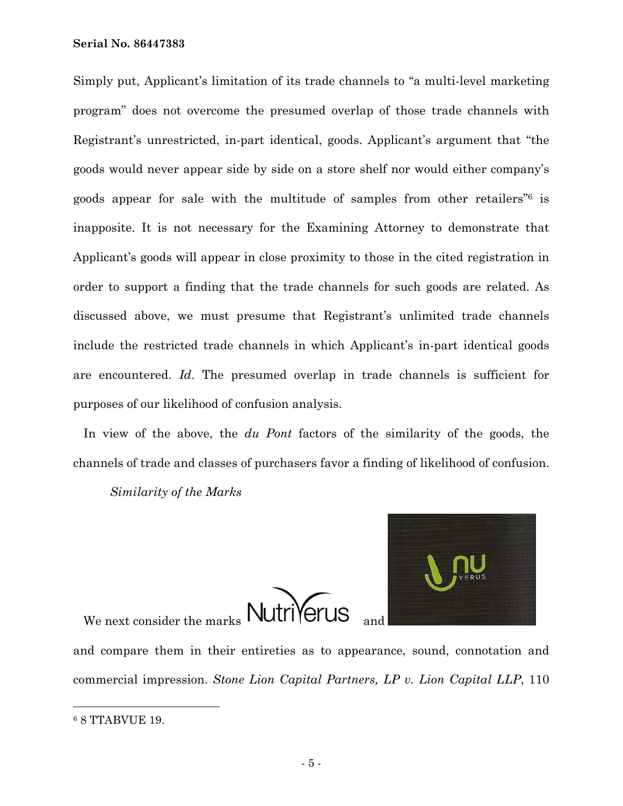Simply put, Applicant's limitation of its trade channels to "a multi-level marketing program" does not overcome the presumed overlap of those trade channels with Registrant's unrestricted, in-part identical, goods. Applicant's argument that "the goods would never appear side by side on a store shelf nor would either company's goods appear for sale with the multitude of samples from other retailers"6 is inapposite. It is not necessary for the Examining Attorney to demonstrate that Applicant's goods will appear in close proximity to those in the cited registration in order to support a finding that the trade channels for such goods are related. As discussed above, we must presume that Registrant's unlimited trade channels include the restricted trade channels in which Applicant's in-part identical goods are encountered. *Id*. The presumed overlap in trade channels is sufficient for purposes of our likelihood of confusion analysis.

 In view of the above, the *du Pont* factors of the similarity of the goods, the channels of trade and classes of purchasers favor a finding of likelihood of confusion.

*Similarity of the Marks* 





and compare them in their entireties as to appearance, sound, connotation and commercial impression. *Stone Lion Capital Partners, LP v. Lion Capital LLP*, 110

÷,

<sup>6 8</sup> TTABVUE 19.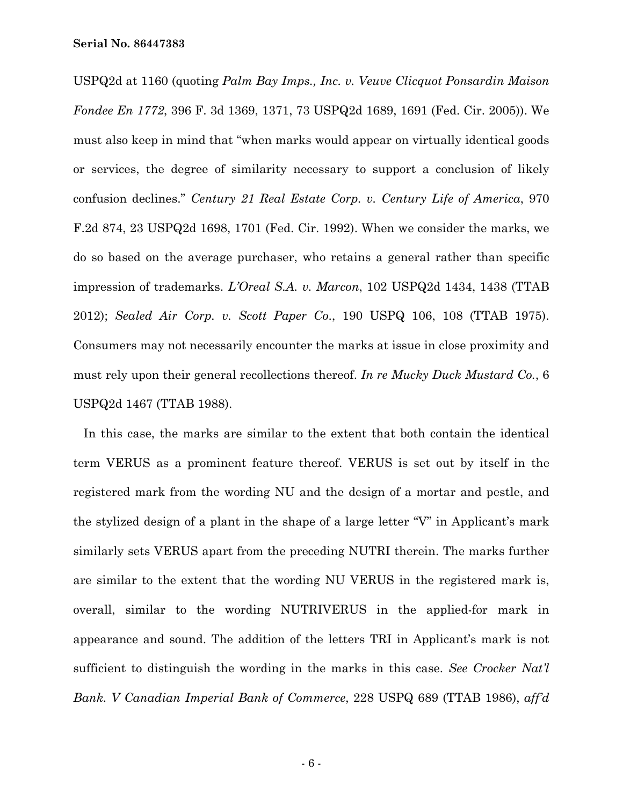USPQ2d at 1160 (quoting *Palm Bay Imps., Inc. v. Veuve Clicquot Ponsardin Maison Fondee En 1772*, 396 F. 3d 1369, 1371, 73 USPQ2d 1689, 1691 (Fed. Cir. 2005)). We must also keep in mind that "when marks would appear on virtually identical goods or services, the degree of similarity necessary to support a conclusion of likely confusion declines." *Century 21 Real Estate Corp. v. Century Life of America*, 970 F.2d 874, 23 USPQ2d 1698, 1701 (Fed. Cir. 1992). When we consider the marks, we do so based on the average purchaser, who retains a general rather than specific impression of trademarks. *L'Oreal S.A. v. Marcon*, 102 USPQ2d 1434, 1438 (TTAB 2012); *Sealed Air Corp. v. Scott Paper Co*., 190 USPQ 106, 108 (TTAB 1975). Consumers may not necessarily encounter the marks at issue in close proximity and must rely upon their general recollections thereof. *In re Mucky Duck Mustard Co.*, 6 USPQ2d 1467 (TTAB 1988).

 In this case, the marks are similar to the extent that both contain the identical term VERUS as a prominent feature thereof. VERUS is set out by itself in the registered mark from the wording NU and the design of a mortar and pestle, and the stylized design of a plant in the shape of a large letter "V" in Applicant's mark similarly sets VERUS apart from the preceding NUTRI therein. The marks further are similar to the extent that the wording NU VERUS in the registered mark is, overall, similar to the wording NUTRIVERUS in the applied-for mark in appearance and sound. The addition of the letters TRI in Applicant's mark is not sufficient to distinguish the wording in the marks in this case. *See Crocker Nat'l Bank. V Canadian Imperial Bank of Commerce*, 228 USPQ 689 (TTAB 1986), *aff'd*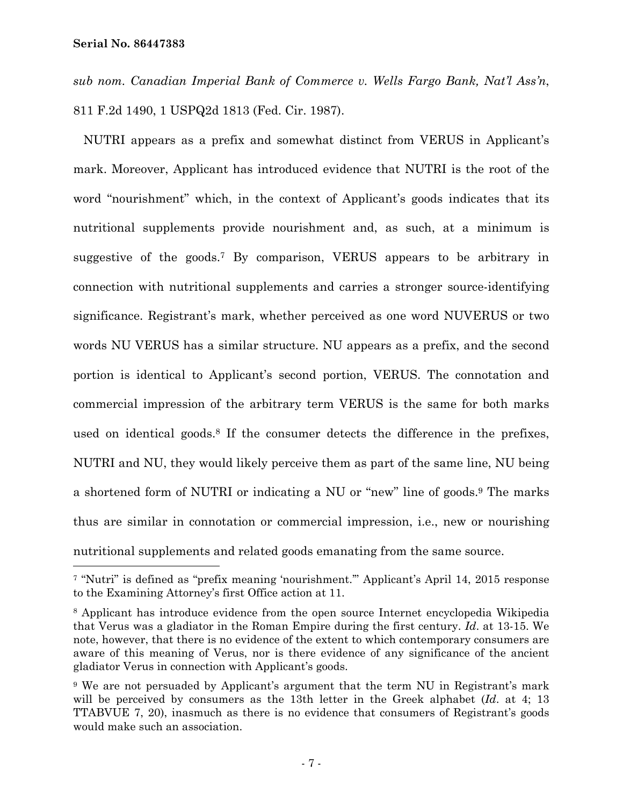—<br>—

*sub nom. Canadian Imperial Bank of Commerce v. Wells Fargo Bank, Nat'l Ass'n*, 811 F.2d 1490, 1 USPQ2d 1813 (Fed. Cir. 1987).

 NUTRI appears as a prefix and somewhat distinct from VERUS in Applicant's mark. Moreover, Applicant has introduced evidence that NUTRI is the root of the word "nourishment" which, in the context of Applicant's goods indicates that its nutritional supplements provide nourishment and, as such, at a minimum is suggestive of the goods.7 By comparison, VERUS appears to be arbitrary in connection with nutritional supplements and carries a stronger source-identifying significance. Registrant's mark, whether perceived as one word NUVERUS or two words NU VERUS has a similar structure. NU appears as a prefix, and the second portion is identical to Applicant's second portion, VERUS. The connotation and commercial impression of the arbitrary term VERUS is the same for both marks used on identical goods.<sup>8</sup> If the consumer detects the difference in the prefixes, NUTRI and NU, they would likely perceive them as part of the same line, NU being a shortened form of NUTRI or indicating a NU or "new" line of goods.9 The marks thus are similar in connotation or commercial impression, i.e., new or nourishing nutritional supplements and related goods emanating from the same source.

<sup>7 &</sup>quot;Nutri" is defined as "prefix meaning 'nourishment.'" Applicant's April 14, 2015 response to the Examining Attorney's first Office action at 11.

<sup>8</sup> Applicant has introduce evidence from the open source Internet encyclopedia Wikipedia that Verus was a gladiator in the Roman Empire during the first century. *Id*. at 13-15. We note, however, that there is no evidence of the extent to which contemporary consumers are aware of this meaning of Verus, nor is there evidence of any significance of the ancient gladiator Verus in connection with Applicant's goods.

<sup>9</sup> We are not persuaded by Applicant's argument that the term NU in Registrant's mark will be perceived by consumers as the 13th letter in the Greek alphabet (*Id*. at 4; 13 TTABVUE 7, 20), inasmuch as there is no evidence that consumers of Registrant's goods would make such an association.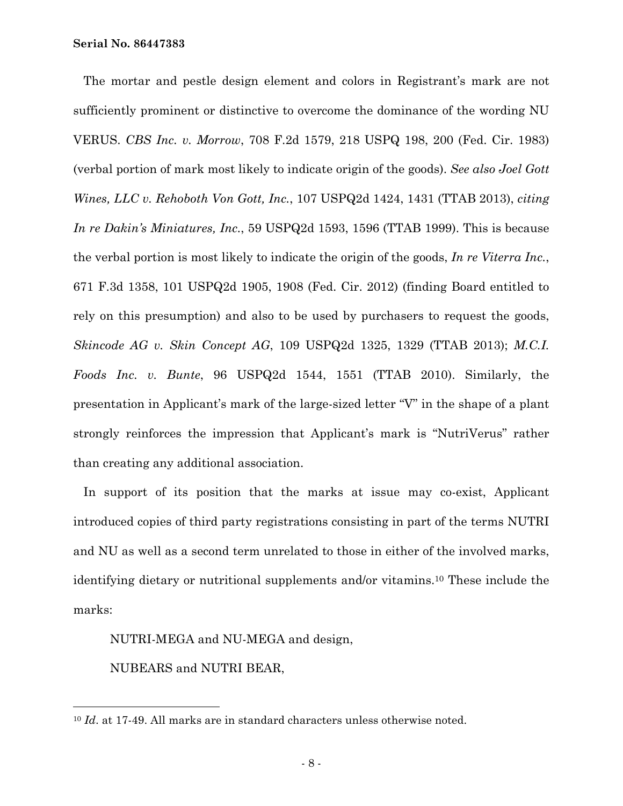The mortar and pestle design element and colors in Registrant's mark are not sufficiently prominent or distinctive to overcome the dominance of the wording NU VERUS. *CBS Inc. v. Morrow*, 708 F.2d 1579, 218 USPQ 198, 200 (Fed. Cir. 1983) (verbal portion of mark most likely to indicate origin of the goods). *See also Joel Gott Wines, LLC v. Rehoboth Von Gott, Inc.*, 107 USPQ2d 1424, 1431 (TTAB 2013), *citing In re Dakin's Miniatures, Inc.*, 59 USPQ2d 1593, 1596 (TTAB 1999). This is because the verbal portion is most likely to indicate the origin of the goods, *In re Viterra Inc.*, 671 F.3d 1358, 101 USPQ2d 1905, 1908 (Fed. Cir. 2012) (finding Board entitled to rely on this presumption) and also to be used by purchasers to request the goods, *Skincode AG v. Skin Concept AG*, 109 USPQ2d 1325, 1329 (TTAB 2013); *M.C.I. Foods Inc. v. Bunte*, 96 USPQ2d 1544, 1551 (TTAB 2010). Similarly, the presentation in Applicant's mark of the large-sized letter "V" in the shape of a plant strongly reinforces the impression that Applicant's mark is "NutriVerus" rather than creating any additional association.

 In support of its position that the marks at issue may co-exist, Applicant introduced copies of third party registrations consisting in part of the terms NUTRI and NU as well as a second term unrelated to those in either of the involved marks, identifying dietary or nutritional supplements and/or vitamins.10 These include the marks:

NUTRI-MEGA and NU-MEGA and design,

NUBEARS and NUTRI BEAR,

<sup>10</sup> *Id*. at 17-49. All marks are in standard characters unless otherwise noted.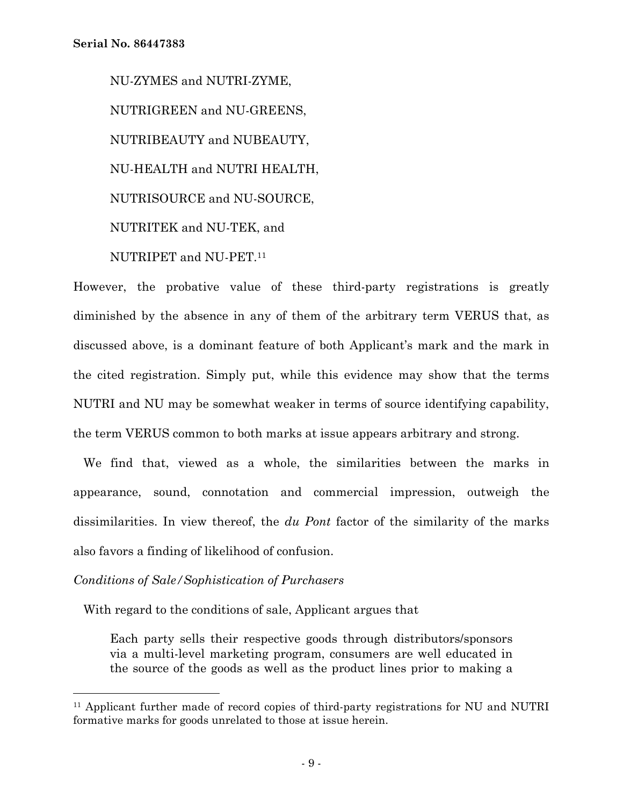NU-ZYMES and NUTRI-ZYME, NUTRIGREEN and NU-GREENS, NUTRIBEAUTY and NUBEAUTY, NU-HEALTH and NUTRI HEALTH, NUTRISOURCE and NU-SOURCE, NUTRITEK and NU-TEK, and NUTRIPET and NU-PET.11

However, the probative value of these third-party registrations is greatly diminished by the absence in any of them of the arbitrary term VERUS that, as discussed above, is a dominant feature of both Applicant's mark and the mark in the cited registration. Simply put, while this evidence may show that the terms NUTRI and NU may be somewhat weaker in terms of source identifying capability, the term VERUS common to both marks at issue appears arbitrary and strong.

 We find that, viewed as a whole, the similarities between the marks in appearance, sound, connotation and commercial impression, outweigh the dissimilarities. In view thereof, the *du Pont* factor of the similarity of the marks also favors a finding of likelihood of confusion.

## *Conditions of Sale/Sophistication of Purchasers*

÷,

With regard to the conditions of sale, Applicant argues that

Each party sells their respective goods through distributors/sponsors via a multi-level marketing program, consumers are well educated in the source of the goods as well as the product lines prior to making a

<sup>11</sup> Applicant further made of record copies of third-party registrations for NU and NUTRI formative marks for goods unrelated to those at issue herein.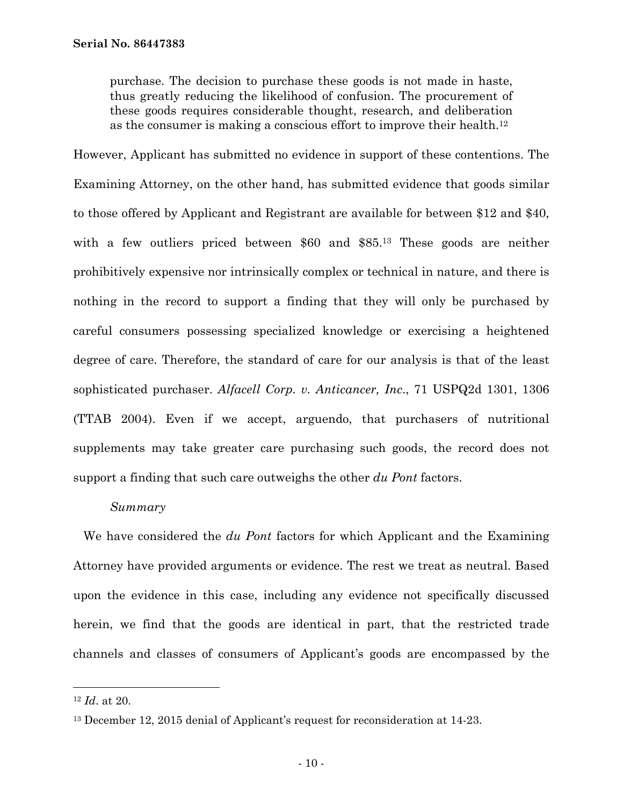purchase. The decision to purchase these goods is not made in haste, thus greatly reducing the likelihood of confusion. The procurement of these goods requires considerable thought, research, and deliberation as the consumer is making a conscious effort to improve their health.12

However, Applicant has submitted no evidence in support of these contentions. The Examining Attorney, on the other hand, has submitted evidence that goods similar to those offered by Applicant and Registrant are available for between \$12 and \$40, with a few outliers priced between \$60 and \$85.<sup>13</sup> These goods are neither prohibitively expensive nor intrinsically complex or technical in nature, and there is nothing in the record to support a finding that they will only be purchased by careful consumers possessing specialized knowledge or exercising a heightened degree of care. Therefore, the standard of care for our analysis is that of the least sophisticated purchaser. *Alfacell Corp. v. Anticancer, Inc*., 71 USPQ2d 1301, 1306 (TTAB 2004). Even if we accept, arguendo, that purchasers of nutritional supplements may take greater care purchasing such goods, the record does not support a finding that such care outweighs the other *du Pont* factors.

## *Summary*

 We have considered the *du Pont* factors for which Applicant and the Examining Attorney have provided arguments or evidence. The rest we treat as neutral. Based upon the evidence in this case, including any evidence not specifically discussed herein, we find that the goods are identical in part, that the restricted trade channels and classes of consumers of Applicant's goods are encompassed by the

<sup>12</sup> *Id*. at 20.

<sup>13</sup> December 12, 2015 denial of Applicant's request for reconsideration at 14-23.